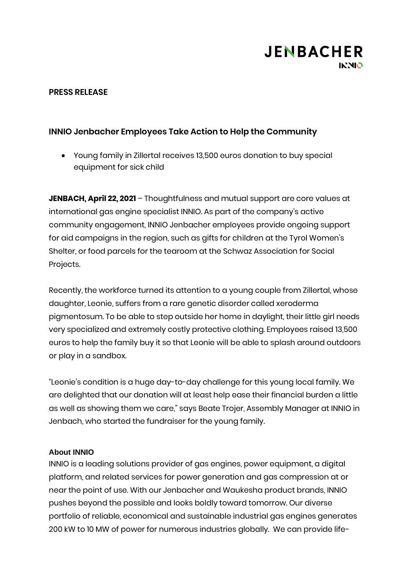

## **PRESS RELEASE**

# **INNIO Jenbacher Employees Take Action to Help the Community**

• Young family in Zillertal receives 13,500 euros donation to buy special equipment for sick child

**JENBACH, April 22, 2021** – Thoughtfulness and mutual support are core values at international gas engine specialist INNIO. As part of the company's active community engagement, INNIO Jenbacher employees provide ongoing support for aid campaigns in the region, such as gifts for children at the Tyrol Women's Shelter, or food parcels for the tearoom at the Schwaz Association for Social Projects.

Recently, the workforce turned its attention to a young couple from Zillertal, whose daughter, Leonie, suffers from a rare genetic disorder called xeroderma pigmentosum. To be able to step outside her home in daylight, their little girl needs very specialized and extremely costly protective clothing. Employees raised 13,500 euros to help the family buy it so that Leonie will be able to splash around outdoors or play in a sandbox.

"Leonie's condition is a huge day-to-day challenge for this young local family. We are delighted that our donation will at least help ease their financial burden a little as well as showing them we care," says Beate Trojer, Assembly Manager at INNIO in Jenbach, who started the fundraiser for the young family.

#### **About INNIO**

INNIO is a leading solutions provider of gas engines, power equipment, a digital platform, and related services for power generation and gas compression at or near the point of use. With our Jenbacher and Waukesha product brands, INNIO pushes beyond the possible and looks boldly toward tomorrow. Our diverse portfolio of reliable, economical and sustainable industrial gas engines generates 200 kW to 10 MW of power for numerous industries globally. We can provide life-